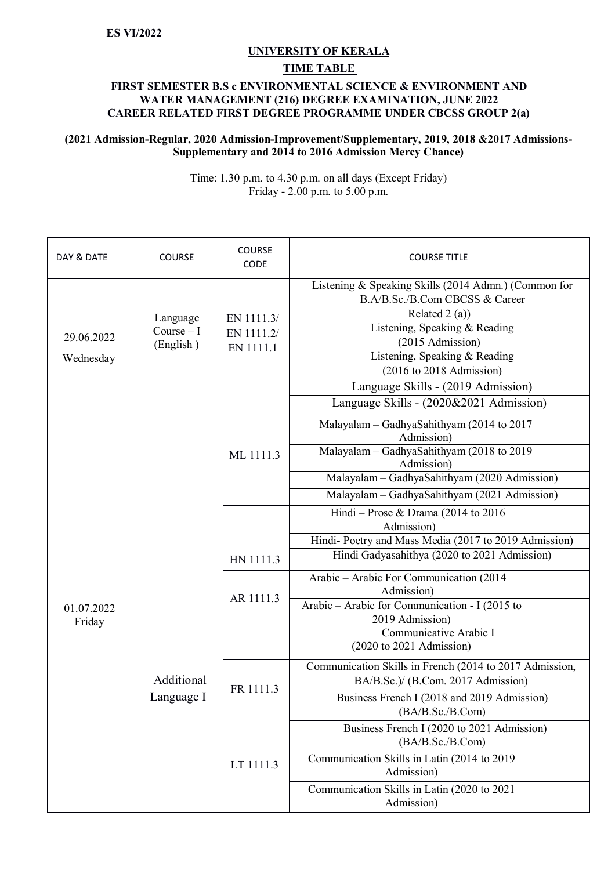## **UNIVERSITY OF KERALA**

## **TIME TABLE**

## **FIRST SEMESTER B.S c ENVIRONMENTAL SCIENCE & ENVIRONMENT AND WATER MANAGEMENT (216) DEGREE EXAMINATION, JUNE 2022 CAREER RELATED FIRST DEGREE PROGRAMME UNDER CBCSS GROUP 2(a)**

## **(2021 Admission-Regular, 2020 Admission-Improvement/Supplementary, 2019, 2018 &2017 Admissions-Supplementary and 2014 to 2016 Admission Mercy Chance)**

Time: 1.30 p.m. to 4.30 p.m. on all days (Except Friday) Friday - 2.00 p.m. to 5.00 p.m.

| DAY & DATE              | <b>COURSE</b>                       | COURSE<br>CODE                        | <b>COURSE TITLE</b>                                                                                                                                                                                                                             |
|-------------------------|-------------------------------------|---------------------------------------|-------------------------------------------------------------------------------------------------------------------------------------------------------------------------------------------------------------------------------------------------|
| 29.06.2022<br>Wednesday | Language<br>$Course-I$<br>(English) | EN 1111.3/<br>EN 1111.2/<br>EN 1111.1 | Listening & Speaking Skills (2014 Admn.) (Common for<br>B.A/B.Sc./B.Com CBCSS & Career<br>Related $2(a)$ )<br>Listening, Speaking & Reading<br>(2015 Admission)<br>Listening, Speaking & Reading<br>$(2016 \text{ to } 2018 \text{ Admission})$ |
|                         |                                     |                                       | Language Skills - (2019 Admission)<br>Language Skills - (2020&2021 Admission)                                                                                                                                                                   |
| 01.07.2022<br>Friday    | Additional<br>Language I            | ML 1111.3                             | Malayalam - GadhyaSahithyam (2014 to 2017<br>Admission)<br>Malayalam - GadhyaSahithyam (2018 to 2019<br>Admission)<br>Malayalam - GadhyaSahithyam (2020 Admission)                                                                              |
|                         |                                     |                                       | Malayalam - GadhyaSahithyam (2021 Admission)                                                                                                                                                                                                    |
|                         |                                     |                                       | Hindi – Prose & Drama (2014 to 2016<br>Admission)                                                                                                                                                                                               |
|                         |                                     |                                       | Hindi-Poetry and Mass Media (2017 to 2019 Admission)                                                                                                                                                                                            |
|                         |                                     | HN 1111.3                             | Hindi Gadyasahithya (2020 to 2021 Admission)                                                                                                                                                                                                    |
|                         |                                     | AR 1111.3                             | Arabic - Arabic For Communication (2014<br>Admission)                                                                                                                                                                                           |
|                         |                                     |                                       | Arabic - Arabic for Communication - I (2015 to<br>2019 Admission)                                                                                                                                                                               |
|                         |                                     |                                       | Communicative Arabic I<br>$(2020 \text{ to } 2021 \text{ Admission})$                                                                                                                                                                           |
|                         |                                     | FR 1111.3                             | Communication Skills in French (2014 to 2017 Admission,<br>BA/B.Sc.)/ (B.Com. 2017 Admission)                                                                                                                                                   |
|                         |                                     |                                       | Business French I (2018 and 2019 Admission)<br>(BA/B.Sc./B.Com)                                                                                                                                                                                 |
|                         |                                     |                                       | Business French I (2020 to 2021 Admission)<br>(BA/B.Sc./B.Com)                                                                                                                                                                                  |
|                         |                                     | LT 1111.3                             | Communication Skills in Latin (2014 to 2019)<br>Admission)                                                                                                                                                                                      |
|                         |                                     |                                       | Communication Skills in Latin (2020 to 2021<br>Admission)                                                                                                                                                                                       |